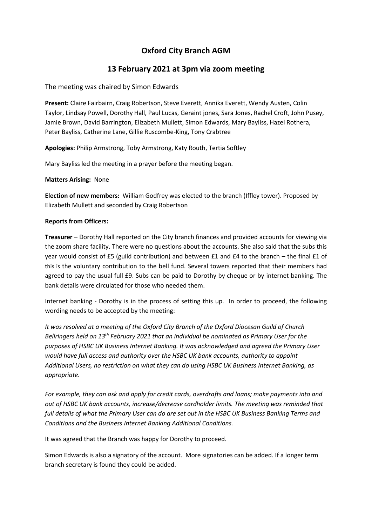# **Oxford City Branch AGM**

## **13 February 2021 at 3pm via zoom meeting**

The meeting was chaired by Simon Edwards

**Present:** Claire Fairbairn, Craig Robertson, Steve Everett, Annika Everett, Wendy Austen, Colin Taylor, Lindsay Powell, Dorothy Hall, Paul Lucas, Geraint jones, Sara Jones, Rachel Croft, John Pusey, Jamie Brown, David Barrington, Elizabeth Mullett, Simon Edwards, Mary Bayliss, Hazel Rothera, Peter Bayliss, Catherine Lane, Gillie Ruscombe-King, Tony Crabtree

**Apologies:** Philip Armstrong, Toby Armstrong, Katy Routh, Tertia Softley

Mary Bayliss led the meeting in a prayer before the meeting began.

**Matters Arising:** None

**Election of new members:** William Godfrey was elected to the branch (Iffley tower). Proposed by Elizabeth Mullett and seconded by Craig Robertson

### **Reports from Officers:**

**Treasurer** – Dorothy Hall reported on the City branch finances and provided accounts for viewing via the zoom share facility. There were no questions about the accounts. She also said that the subs this year would consist of £5 (guild contribution) and between £1 and £4 to the branch – the final £1 of this is the voluntary contribution to the bell fund. Several towers reported that their members had agreed to pay the usual full £9. Subs can be paid to Dorothy by cheque or by internet banking. The bank details were circulated for those who needed them.

Internet banking - Dorothy is in the process of setting this up. In order to proceed, the following wording needs to be accepted by the meeting:

*It was resolved at a meeting of the Oxford City Branch of the Oxford Diocesan Guild of Church Bellringers held on 13th February 2021 that an individual be nominated as Primary User for the purposes of HSBC UK Business Internet Banking. It was acknowledged and agreed the Primary User would have full access and authority over the HSBC UK bank accounts, authority to appoint Additional Users, no restriction on what they can do using HSBC UK Business Internet Banking, as appropriate.*

*For example, they can ask and apply for credit cards, overdrafts and loans; make payments into and out of HSBC UK bank accounts, increase/decrease cardholder limits. The meeting was reminded that full details of what the Primary User can do are set out in the HSBC UK Business Banking Terms and Conditions and the Business Internet Banking Additional Conditions.*

It was agreed that the Branch was happy for Dorothy to proceed.

Simon Edwards is also a signatory of the account. More signatories can be added. If a longer term branch secretary is found they could be added.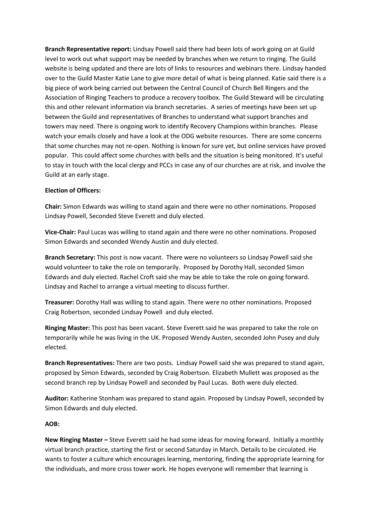**Branch Representative report:** Lindsay Powell said there had been lots of work going on at Guild level to work out what support may be needed by branches when we return to ringing. The Guild website is being updated and there are lots of links to resources and webinars there. Lindsay handed over to the Guild Master Katie Lane to give more detail of what is being planned. Katie said there is a big piece of work being carried out between the Central Council of Church Bell Ringers and the Association of Ringing Teachers to produce a recovery toolbox. The Guild Steward will be circulating this and other relevant information via branch secretaries. A series of meetings have been set up between the Guild and representatives of Branches to understand what support branches and towers may need. There is ongoing work to identify Recovery Champions within branches. Please watch your emails closely and have a look at the ODG website resources. There are some concerns that some churches may not re-open. Nothing is known for sure yet, but online services have proved popular. This could affect some churches with bells and the situation is being monitored. It's useful to stay in touch with the local clergy and PCCs in case any of our churches are at risk, and involve the Guild at an early stage.

#### **Election of Officers:**

**Chair:** Simon Edwards was willing to stand again and there were no other nominations. Proposed Lindsay Powell, Seconded Steve Everett and duly elected.

**Vice-Chair:** Paul Lucas was willing to stand again and there were no other nominations. Proposed Simon Edwards and seconded Wendy Austin and duly elected.

**Branch Secretary:** This post is now vacant. There were no volunteers so Lindsay Powell said she would volunteer to take the role on temporarily. Proposed by Dorothy Hall, seconded Simon Edwards and duly elected. Rachel Croft said she may be able to take the role on going forward. Lindsay and Rachel to arrange a virtual meeting to discuss further.

**Treasurer:** Dorothy Hall was willing to stand again. There were no other nominations. Proposed Craig Robertson, seconded Lindsay Powell and duly elected.

**Ringing Master:** This post has been vacant. Steve Everett said he was prepared to take the role on temporarily while he was living in the UK. Proposed Wendy Austen, seconded John Pusey and duly elected.

**Branch Representatives:** There are two posts. Lindsay Powell said she was prepared to stand again, proposed by Simon Edwards, seconded by Craig Robertson. Elizabeth Mullett was proposed as the second branch rep by Lindsay Powell and seconded by Paul Lucas. Both were duly elected.

**Auditor:** Katherine Stonham was prepared to stand again. Proposed by Lindsay Powell, seconded by Simon Edwards and duly elected.

#### **AOB:**

**New Ringing Master –** Steve Everett said he had some ideas for moving forward. Initially a monthly virtual branch practice, starting the first or second Saturday in March. Details to be circulated. He wants to foster a culture which encourages learning, mentoring, finding the appropriate learning for the individuals, and more cross tower work. He hopes everyone will remember that learning is